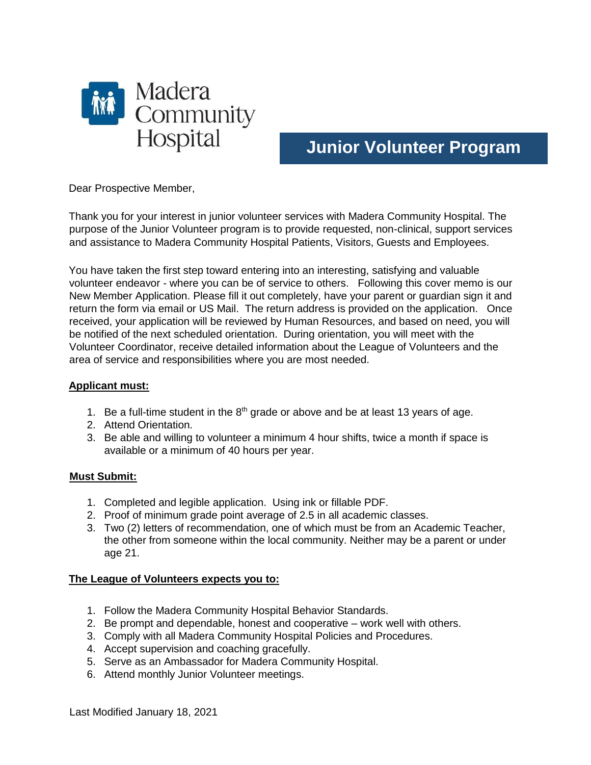

# **Junior Volunteer Program**

Dear Prospective Member,

Thank you for your interest in junior volunteer services with Madera Community Hospital. The purpose of the Junior Volunteer program is to provide requested, non-clinical, support services and assistance to Madera Community Hospital Patients, Visitors, Guests and Employees.

You have taken the first step toward entering into an interesting, satisfying and valuable volunteer endeavor - where you can be of service to others. Following this cover memo is our New Member Application. Please fill it out completely, have your parent or guardian sign it and return the form via email or US Mail. The return address is provided on the application. Once received, your application will be reviewed by Human Resources, and based on need, you will be notified of the next scheduled orientation. During orientation, you will meet with the Volunteer Coordinator, receive detailed information about the League of Volunteers and the area of service and responsibilities where you are most needed.

#### **Applicant must:**

- 1. Be a full-time student in the  $8<sup>th</sup>$  grade or above and be at least 13 years of age.
- 2. Attend Orientation.
- 3. Be able and willing to volunteer a minimum 4 hour shifts, twice a month if space is available or a minimum of 40 hours per year.

#### **Must Submit:**

- 1. Completed and legible application. Using ink or fillable PDF.
- 2. Proof of minimum grade point average of 2.5 in all academic classes.
- 3. Two (2) letters of recommendation, one of which must be from an Academic Teacher, the other from someone within the local community. Neither may be a parent or under age 21.

#### **The League of Volunteers expects you to:**

- 1. Follow the Madera Community Hospital Behavior Standards.
- 2. Be prompt and dependable, honest and cooperative work well with others.
- 3. Comply with all Madera Community Hospital Policies and Procedures.
- 4. Accept supervision and coaching gracefully.
- 5. Serve as an Ambassador for Madera Community Hospital.
- 6. Attend monthly Junior Volunteer meetings.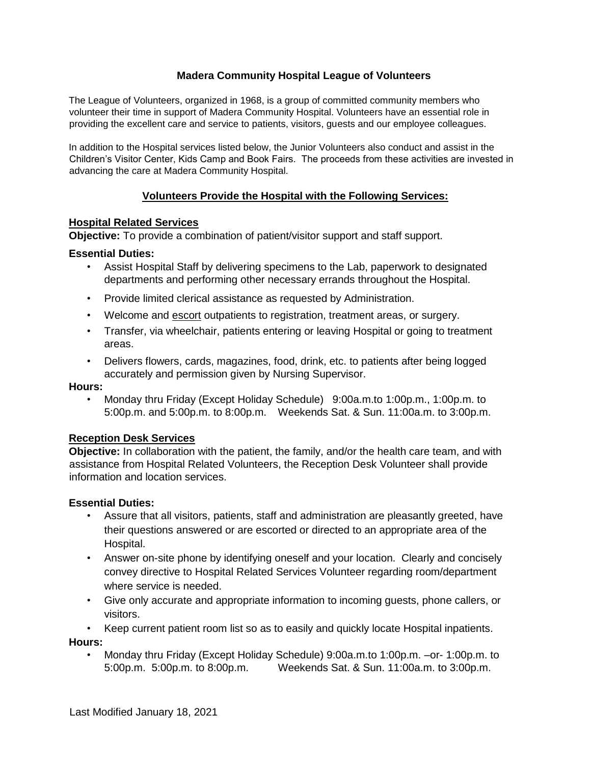## **Madera Community Hospital League of Volunteers**

The League of Volunteers, organized in 1968, is a group of committed community members who volunteer their time in support of Madera Community Hospital. Volunteers have an essential role in providing the excellent care and service to patients, visitors, guests and our employee colleagues.

In addition to the Hospital services listed below, the Junior Volunteers also conduct and assist in the Children's Visitor Center, Kids Camp and Book Fairs. The proceeds from these activities are invested in advancing the care at Madera Community Hospital.

## **Volunteers Provide the Hospital with the Following Services:**

#### **Hospital Related Services**

**Objective:** To provide a combination of patient/visitor support and staff support.

#### **Essential Duties:**

- Assist Hospital Staff by delivering specimens to the Lab, paperwork to designated departments and performing other necessary errands throughout the Hospital.
- Provide limited clerical assistance as requested by Administration.
- Welcome and escort outpatients to registration, treatment areas, or surgery.
- Transfer, via wheelchair, patients entering or leaving Hospital or going to treatment areas.
- Delivers flowers, cards, magazines, food, drink, etc. to patients after being logged accurately and permission given by Nursing Supervisor.

#### **Hours:**

• Monday thru Friday (Except Holiday Schedule) 9:00a.m.to 1:00p.m., 1:00p.m. to 5:00p.m. and 5:00p.m. to 8:00p.m. Weekends Sat. & Sun. 11:00a.m. to 3:00p.m.

#### **Reception Desk Services**

**Objective:** In collaboration with the patient, the family, and/or the health care team, and with assistance from Hospital Related Volunteers, the Reception Desk Volunteer shall provide information and location services.

#### **Essential Duties:**

- Assure that all visitors, patients, staff and administration are pleasantly greeted, have their questions answered or are escorted or directed to an appropriate area of the Hospital.
- Answer on-site phone by identifying oneself and your location. Clearly and concisely convey directive to Hospital Related Services Volunteer regarding room/department where service is needed.
- Give only accurate and appropriate information to incoming guests, phone callers, or visitors.
- Keep current patient room list so as to easily and quickly locate Hospital inpatients.

#### **Hours:**

• Monday thru Friday (Except Holiday Schedule) 9:00a.m.to 1:00p.m. –or- 1:00p.m. to 5:00p.m. 5:00p.m. to 8:00p.m. Weekends Sat. & Sun. 11:00a.m. to 3:00p.m.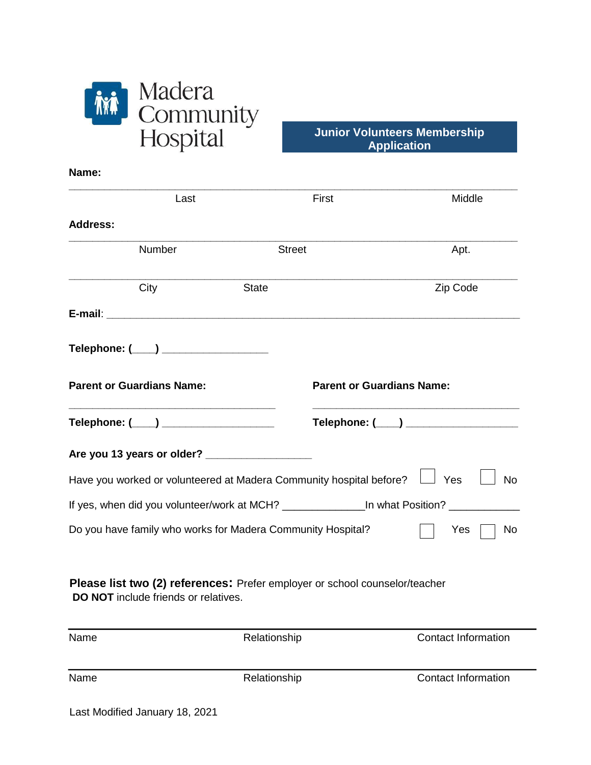

**Name:** 

**Junior Volunteers Membership Application** 

| Last                                                                                                                       |               | First                            | Middle           |
|----------------------------------------------------------------------------------------------------------------------------|---------------|----------------------------------|------------------|
| <b>Address:</b>                                                                                                            |               |                                  |                  |
| Number                                                                                                                     | <b>Street</b> |                                  | Apt.             |
| City                                                                                                                       | <b>State</b>  |                                  | Zip Code         |
|                                                                                                                            |               |                                  |                  |
| Telephone: (____) __________________                                                                                       |               |                                  |                  |
| <b>Parent or Guardians Name:</b>                                                                                           |               | <b>Parent or Guardians Name:</b> |                  |
| Telephone: (____) _____________________                                                                                    |               |                                  |                  |
|                                                                                                                            |               |                                  |                  |
| Have you worked or volunteered at Madera Community hospital before?                                                        |               |                                  | Yes<br><b>No</b> |
| If yes, when did you volunteer/work at MCH? __________________In what Position? ______                                     |               |                                  |                  |
| Do you have family who works for Madera Community Hospital?                                                                |               |                                  | Yes<br>No        |
| Please list two (2) references: Prefer employer or school counselor/teacher<br><b>DO NOT</b> include friends or relatives. |               |                                  |                  |

| Name | Relationship | <b>Contact Information</b> |
|------|--------------|----------------------------|
| Name | Relationship | <b>Contact Information</b> |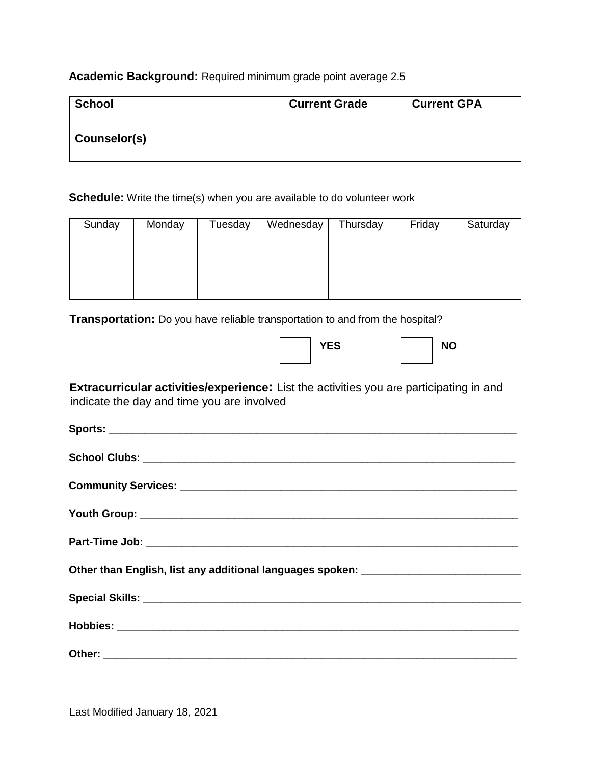## **Academic Background:** Required minimum grade point average 2.5

| <b>School</b> | <b>Current Grade</b> | <b>Current GPA</b> |
|---------------|----------------------|--------------------|
| Counselor(s)  |                      |                    |

**Schedule:** Write the time(s) when you are available to do volunteer work

| Sunday | Monday | Tuesday | Wednesday | Thursday | Friday | Saturday |
|--------|--------|---------|-----------|----------|--------|----------|
|        |        |         |           |          |        |          |
|        |        |         |           |          |        |          |
|        |        |         |           |          |        |          |
|        |        |         |           |          |        |          |
|        |        |         |           |          |        |          |

**Transportation:** Do you have reliable transportation to and from the hospital?

|  | <b>YES</b> |  | <b>NO</b> |
|--|------------|--|-----------|
|  |            |  |           |

| <b>Extracurricular activities/experience:</b> List the activities you are participating in and |
|------------------------------------------------------------------------------------------------|
| indicate the day and time you are involved                                                     |

| Other than English, list any additional languages spoken: _______________________ |
|-----------------------------------------------------------------------------------|
|                                                                                   |
|                                                                                   |
|                                                                                   |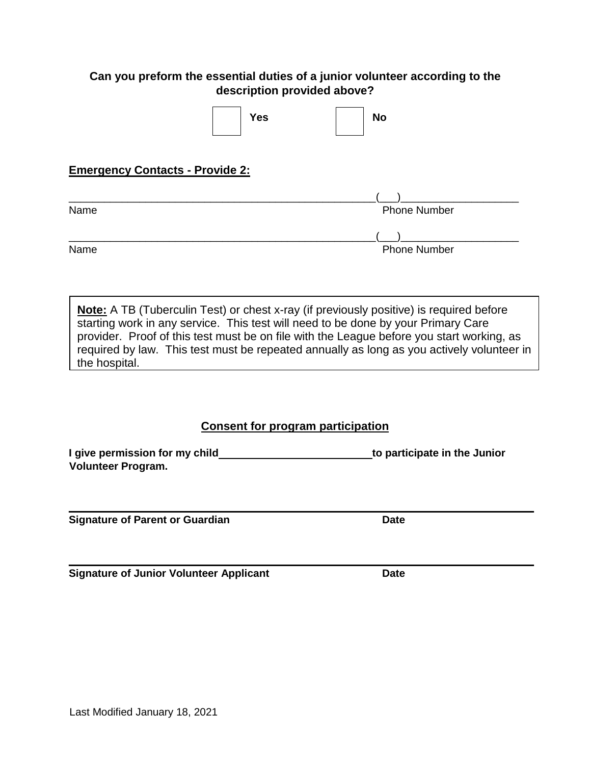## **Can you preform the essential duties of a junior volunteer according to the description provided above?**

|                                        | <b>Yes</b> | <b>No</b>           |
|----------------------------------------|------------|---------------------|
| <b>Emergency Contacts - Provide 2:</b> |            |                     |
|                                        |            |                     |
| Name                                   |            | <b>Phone Number</b> |
|                                        |            |                     |
| Name                                   |            | <b>Phone Number</b> |

**Note:** A TB (Tuberculin Test) or chest x-ray (if previously positive) is required before starting work in any service. This test will need to be done by your Primary Care provider. Proof of this test must be on file with the League before you start working, as required by law. This test must be repeated annually as long as you actively volunteer in the hospital.

## **Consent for program participation**

**I** give permission for my child **the interval of the Sunior in the Junior in the Junior in the Junior in the Junior Volunteer Program.**

**Signature of Parent or Guardian Date** 

**Signature of Junior Volunteer Applicant Date**